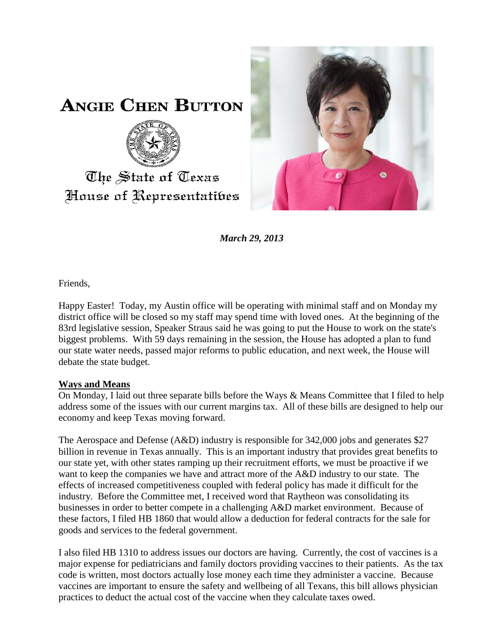

**ANGIE CHEN BUTTON** 



## The State of Texas House of Representatibes

*March 29, 2013*

Friends,

Happy Easter! Today, my Austin office will be operating with minimal staff and on Monday my district office will be closed so my staff may spend time with loved ones. At the beginning of the 83rd legislative session, Speaker Straus said he was going to put the House to work on the state's biggest problems. With 59 days remaining in the session, the House has adopted a plan to fund our state water needs, passed major reforms to public education, and next week, the House will debate the state budget.

## **Ways and Means**

On Monday, I laid out three separate bills before the Ways & Means Committee that I filed to help address some of the issues with our current margins tax. All of these bills are designed to help our economy and keep Texas moving forward.

The Aerospace and Defense (A&D) industry is responsible for 342,000 jobs and generates \$27 billion in revenue in Texas annually. This is an important industry that provides great benefits to our state yet, with other states ramping up their recruitment efforts, we must be proactive if we want to keep the companies we have and attract more of the A&D industry to our state. The effects of increased competitiveness coupled with federal policy has made it difficult for the industry. Before the Committee met, I received word that Raytheon was consolidating its businesses in order to better compete in a challenging A&D market environment. Because of these factors, I filed HB 1860 that would allow a deduction for federal contracts for the sale for goods and services to the federal government.

I also filed HB 1310 to address issues our doctors are having. Currently, the cost of vaccines is a major expense for pediatricians and family doctors providing vaccines to their patients. As the tax code is written, most doctors actually lose money each time they administer a vaccine. Because vaccines are important to ensure the safety and wellbeing of all Texans, this bill allows physician practices to deduct the actual cost of the vaccine when they calculate taxes owed.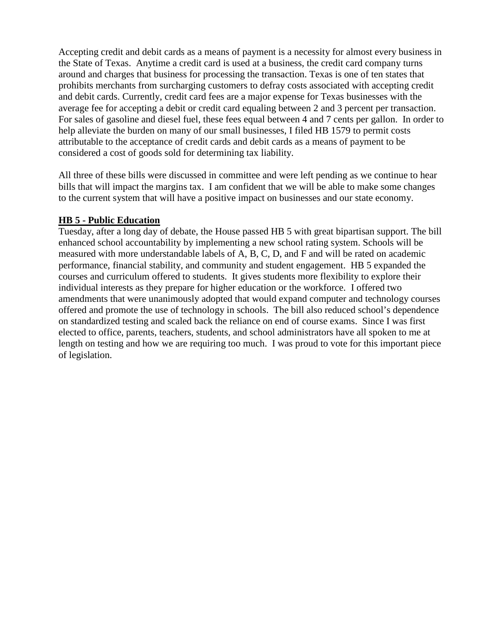Accepting credit and debit cards as a means of payment is a necessity for almost every business in the State of Texas. Anytime a credit card is used at a business, the credit card company turns around and charges that business for processing the transaction. Texas is one of ten states that prohibits merchants from surcharging customers to defray costs associated with accepting credit and debit cards. Currently, credit card fees are a major expense for Texas businesses with the average fee for accepting a debit or credit card equaling between 2 and 3 percent per transaction. For sales of gasoline and diesel fuel, these fees equal between 4 and 7 cents per gallon. In order to help alleviate the burden on many of our small businesses, I filed HB 1579 to permit costs attributable to the acceptance of credit cards and debit cards as a means of payment to be considered a cost of goods sold for determining tax liability.

All three of these bills were discussed in committee and were left pending as we continue to hear bills that will impact the margins tax. I am confident that we will be able to make some changes to the current system that will have a positive impact on businesses and our state economy.

## **HB 5 - Public Education**

Tuesday, after a long day of debate, the House passed HB 5 with great bipartisan support. The bill enhanced school accountability by implementing a new school rating system. Schools will be measured with more understandable labels of A, B, C, D, and F and will be rated on academic performance, financial stability, and community and student engagement. HB 5 expanded the courses and curriculum offered to students. It gives students more flexibility to explore their individual interests as they prepare for higher education or the workforce. I offered two amendments that were unanimously adopted that would expand computer and technology courses offered and promote the use of technology in schools. The bill also reduced school's dependence on standardized testing and scaled back the reliance on end of course exams. Since I was first elected to office, parents, teachers, students, and school administrators have all spoken to me at length on testing and how we are requiring too much. I was proud to vote for this important piece of legislation.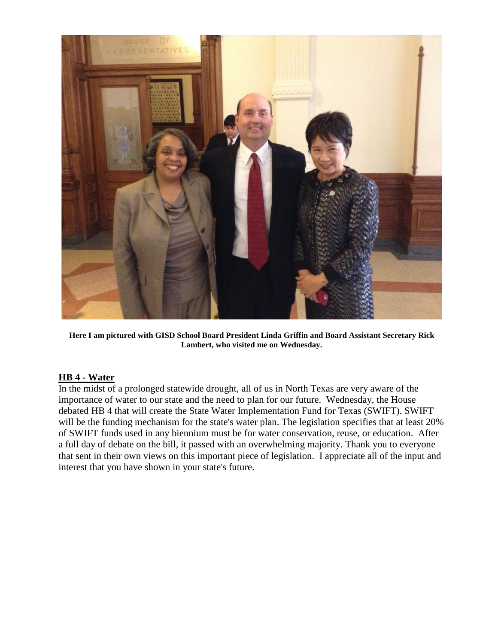

**Here I am pictured with GISD School Board President Linda Griffin and Board Assistant Secretary Rick Lambert, who visited me on Wednesday.**

## **HB 4 - Water**

In the midst of a prolonged statewide drought, all of us in North Texas are very aware of the importance of water to our state and the need to plan for our future. Wednesday, the House debated HB 4 that will create the State Water Implementation Fund for Texas (SWIFT). SWIFT will be the funding mechanism for the state's water plan. The legislation specifies that at least 20% of SWIFT funds used in any biennium must be for water conservation, reuse, or education. After a full day of debate on the bill, it passed with an overwhelming majority. Thank you to everyone that sent in their own views on this important piece of legislation. I appreciate all of the input and interest that you have shown in your state's future.